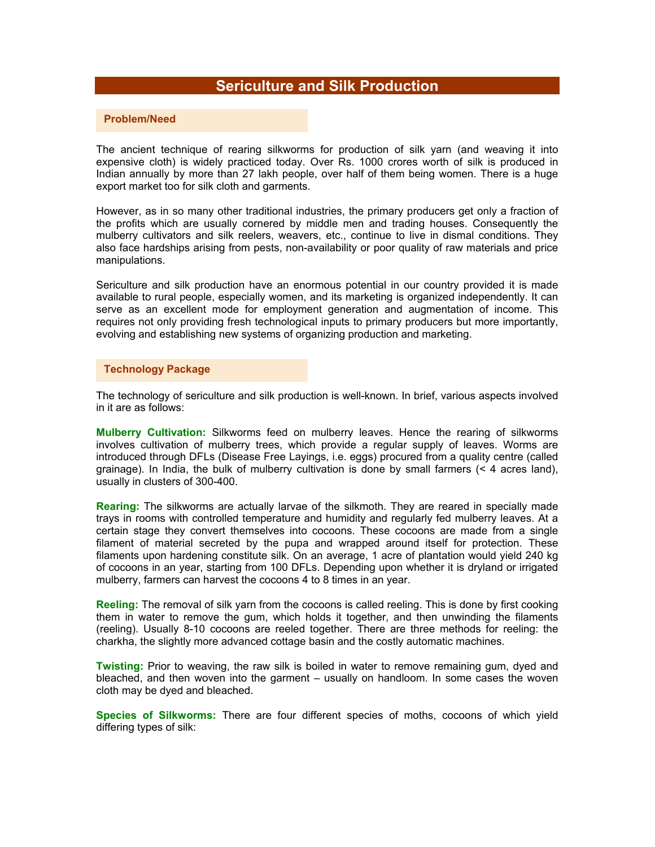# **Sericulture and Silk Production**

## **Problem/Need**

The ancient technique of rearing silkworms for production of silk yarn (and weaving it into expensive cloth) is widely practiced today. Over Rs. 1000 crores worth of silk is produced in Indian annually by more than 27 lakh people, over half of them being women. There is a huge export market too for silk cloth and garments.

However, as in so many other traditional industries, the primary producers get only a fraction of the profits which are usually cornered by middle men and trading houses. Consequently the mulberry cultivators and silk reelers, weavers, etc., continue to live in dismal conditions. They also face hardships arising from pests, non-availability or poor quality of raw materials and price manipulations.

Sericulture and silk production have an enormous potential in our country provided it is made available to rural people, especially women, and its marketing is organized independently. It can serve as an excellent mode for employment generation and augmentation of income. This requires not only providing fresh technological inputs to primary producers but more importantly, evolving and establishing new systems of organizing production and marketing.

#### **Technology Package**

The technology of sericulture and silk production is well-known. In brief, various aspects involved in it are as follows:

**Mulberry Cultivation:** Silkworms feed on mulberry leaves. Hence the rearing of silkworms involves cultivation of mulberry trees, which provide a regular supply of leaves. Worms are introduced through DFLs (Disease Free Layings, i.e. eggs) procured from a quality centre (called grainage). In India, the bulk of mulberry cultivation is done by small farmers (< 4 acres land), usually in clusters of 300-400.

**Rearing:** The silkworms are actually larvae of the silkmoth. They are reared in specially made trays in rooms with controlled temperature and humidity and regularly fed mulberry leaves. At a certain stage they convert themselves into cocoons. These cocoons are made from a single filament of material secreted by the pupa and wrapped around itself for protection. These filaments upon hardening constitute silk. On an average, 1 acre of plantation would yield 240 kg of cocoons in an year, starting from 100 DFLs. Depending upon whether it is dryland or irrigated mulberry, farmers can harvest the cocoons 4 to 8 times in an year.

**Reeling:** The removal of silk yarn from the cocoons is called reeling. This is done by first cooking them in water to remove the gum, which holds it together, and then unwinding the filaments (reeling). Usually 8-10 cocoons are reeled together. There are three methods for reeling: the charkha, the slightly more advanced cottage basin and the costly automatic machines.

**Twisting:** Prior to weaving, the raw silk is boiled in water to remove remaining gum, dyed and bleached, and then woven into the garment – usually on handloom. In some cases the woven cloth may be dyed and bleached.

**Species of Silkworms:** There are four different species of moths, cocoons of which yield differing types of silk: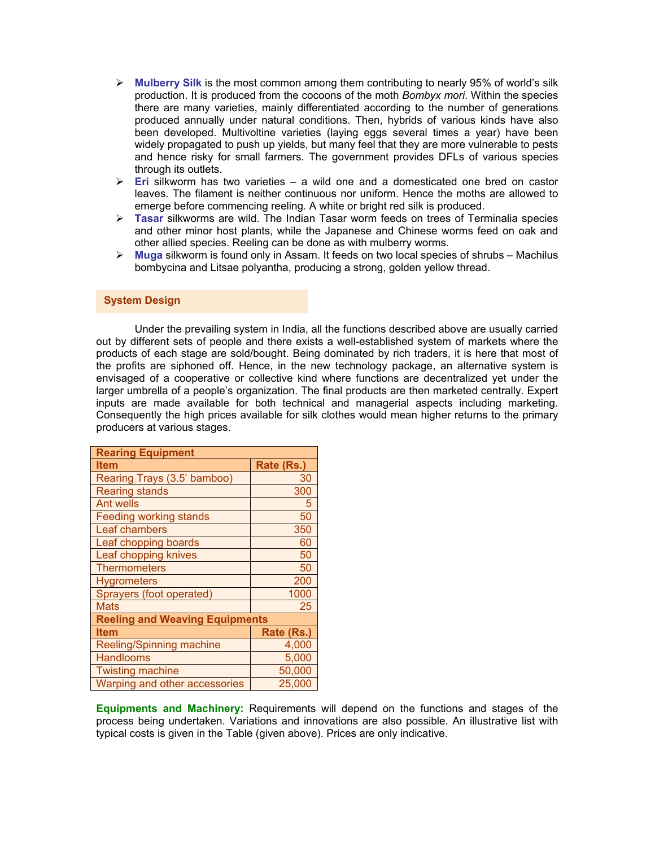- ¾ **Mulberry Silk** is the most common among them contributing to nearly 95% of world's silk production. It is produced from the cocoons of the moth *Bombyx mori*. Within the species there are many varieties, mainly differentiated according to the number of generations produced annually under natural conditions. Then, hybrids of various kinds have also been developed. Multivoltine varieties (laying eggs several times a year) have been widely propagated to push up yields, but many feel that they are more vulnerable to pests and hence risky for small farmers. The government provides DFLs of various species through its outlets.
- ¾ **Eri** silkworm has two varieties a wild one and a domesticated one bred on castor leaves. The filament is neither continuous nor uniform. Hence the moths are allowed to emerge before commencing reeling. A white or bright red silk is produced.
- ¾ **Tasar** silkworms are wild. The Indian Tasar worm feeds on trees of Terminalia species and other minor host plants, while the Japanese and Chinese worms feed on oak and other allied species. Reeling can be done as with mulberry worms.
- ¾ **Muga** silkworm is found only in Assam. It feeds on two local species of shrubs Machilus bombycina and Litsae polyantha, producing a strong, golden yellow thread.

## **System Design**

 Under the prevailing system in India, all the functions described above are usually carried out by different sets of people and there exists a well-established system of markets where the products of each stage are sold/bought. Being dominated by rich traders, it is here that most of the profits are siphoned off. Hence, in the new technology package, an alternative system is envisaged of a cooperative or collective kind where functions are decentralized yet under the larger umbrella of a people's organization. The final products are then marketed centrally. Expert inputs are made available for both technical and managerial aspects including marketing. Consequently the high prices available for silk clothes would mean higher returns to the primary producers at various stages.

| <b>Rearing Equipment</b>              |            |  |
|---------------------------------------|------------|--|
| <b>Item</b>                           | Rate (Rs.) |  |
| Rearing Trays (3.5' bamboo)           | 30         |  |
| <b>Rearing stands</b>                 | 300        |  |
| <b>Ant wells</b>                      | 5          |  |
| <b>Feeding working stands</b>         | 50         |  |
| Leaf chambers                         | 350        |  |
| Leaf chopping boards                  | 60         |  |
| Leaf chopping knives                  | 50         |  |
| <b>Thermometers</b>                   | 50         |  |
| <b>Hygrometers</b>                    | 200        |  |
| Sprayers (foot operated)              | 1000       |  |
| <b>Mats</b>                           | 25         |  |
| <b>Reeling and Weaving Equipments</b> |            |  |
| <b>Item</b>                           | Rate (Rs.) |  |
| <b>Reeling/Spinning machine</b>       | 4,000      |  |
| <b>Handlooms</b>                      | 5,000      |  |
| <b>Twisting machine</b>               | 50,000     |  |
| Warping and other accessories         | 25,000     |  |

**Equipments and Machinery:** Requirements will depend on the functions and stages of the process being undertaken. Variations and innovations are also possible. An illustrative list with typical costs is given in the Table (given above). Prices are only indicative.